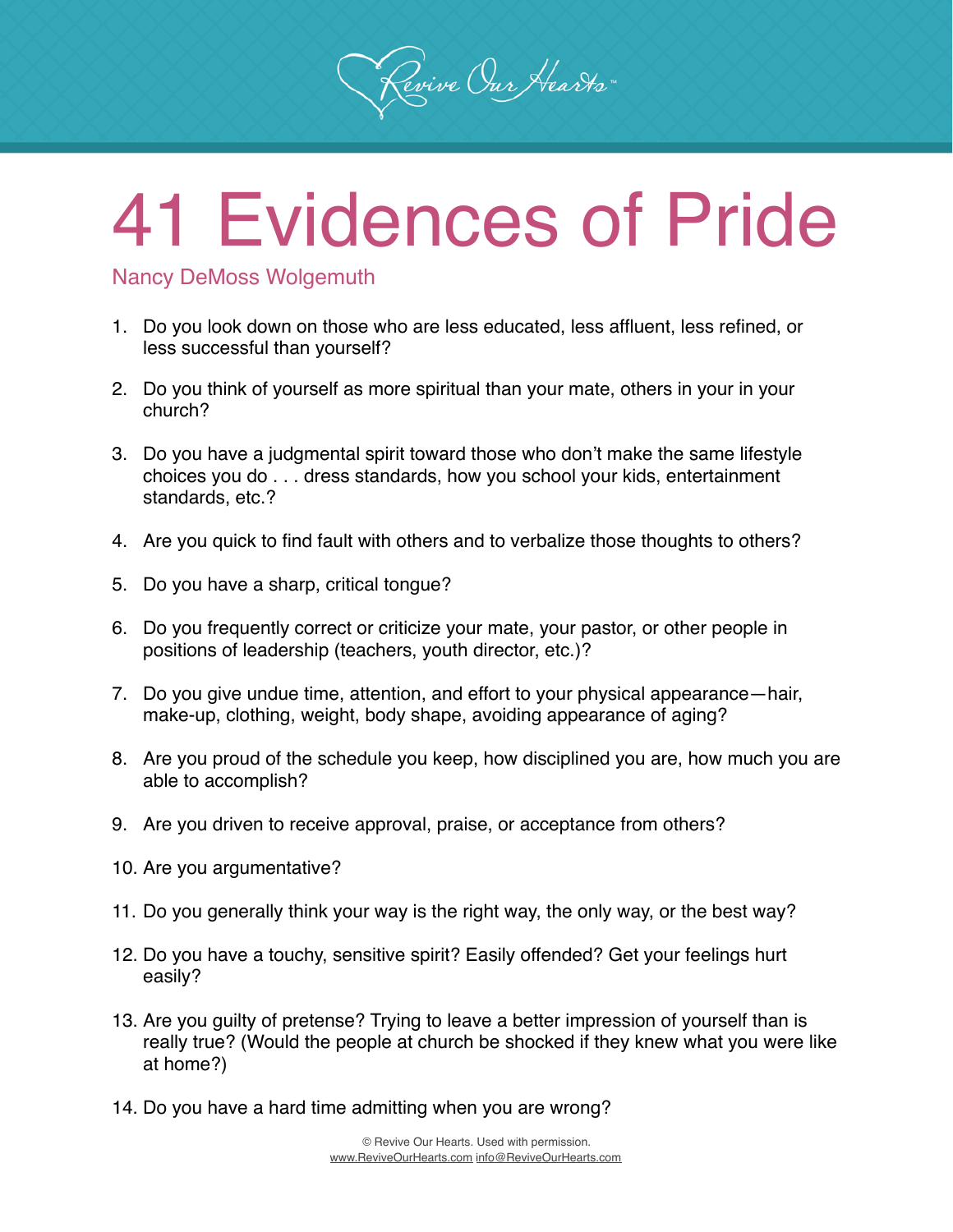## 41 Evidences of Pride

Revive Our Hearts

Nancy DeMoss Wolgemuth

- 1. Do you look down on those who are less educated, less affluent, less refined, or less successful than yourself?
- 2. Do you think of yourself as more spiritual than your mate, others in your in your church?
- 3. Do you have a judgmental spirit toward those who don't make the same lifestyle choices you do . . . dress standards, how you school your kids, entertainment standards, etc.?
- 4. Are you quick to find fault with others and to verbalize those thoughts to others?
- 5. Do you have a sharp, critical tongue?
- 6. Do you frequently correct or criticize your mate, your pastor, or other people in positions of leadership (teachers, youth director, etc.)?
- 7. Do you give undue time, attention, and effort to your physical appearance—hair, make-up, clothing, weight, body shape, avoiding appearance of aging?
- 8. Are you proud of the schedule you keep, how disciplined you are, how much you are able to accomplish?
- 9. Are you driven to receive approval, praise, or acceptance from others?
- 10. Are you argumentative?
- 11. Do you generally think your way is the right way, the only way, or the best way?
- 12. Do you have a touchy, sensitive spirit? Easily offended? Get your feelings hurt easily?
- 13. Are you guilty of pretense? Trying to leave a better impression of yourself than is really true? (Would the people at church be shocked if they knew what you were like at home?)
- 14. Do you have a hard time admitting when you are wrong?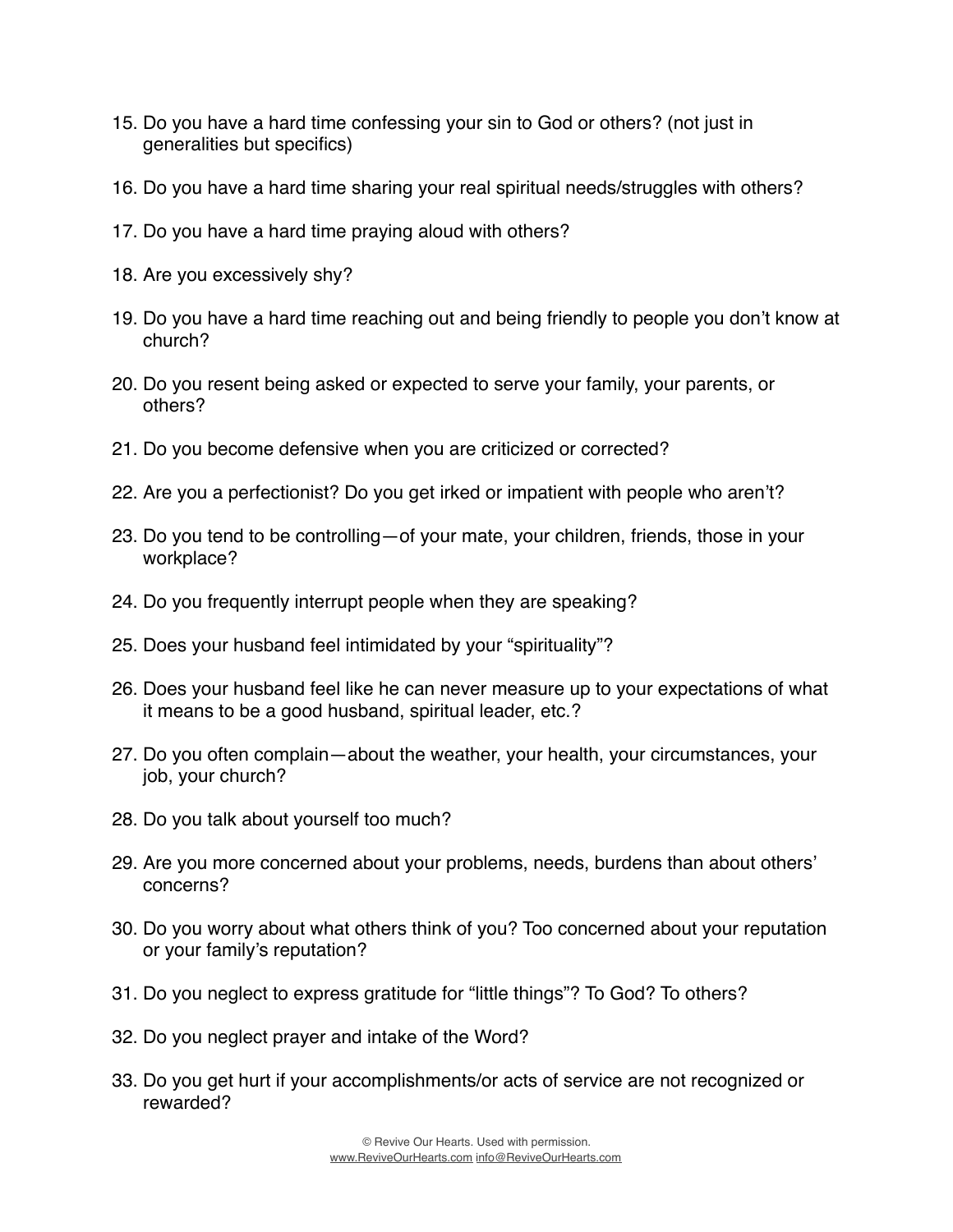- 15. Do you have a hard time confessing your sin to God or others? (not just in generalities but specifics)
- 16. Do you have a hard time sharing your real spiritual needs/struggles with others?
- 17. Do you have a hard time praying aloud with others?
- 18. Are you excessively shy?
- 19. Do you have a hard time reaching out and being friendly to people you don't know at church?
- 20. Do you resent being asked or expected to serve your family, your parents, or others?
- 21. Do you become defensive when you are criticized or corrected?
- 22. Are you a perfectionist? Do you get irked or impatient with people who aren't?
- 23. Do you tend to be controlling—of your mate, your children, friends, those in your workplace?
- 24. Do you frequently interrupt people when they are speaking?
- 25. Does your husband feel intimidated by your "spirituality"?
- 26. Does your husband feel like he can never measure up to your expectations of what it means to be a good husband, spiritual leader, etc.?
- 27. Do you often complain—about the weather, your health, your circumstances, your job, your church?
- 28. Do you talk about yourself too much?
- 29. Are you more concerned about your problems, needs, burdens than about others' concerns?
- 30. Do you worry about what others think of you? Too concerned about your reputation or your family's reputation?
- 31. Do you neglect to express gratitude for "little things"? To God? To others?
- 32. Do you neglect prayer and intake of the Word?
- 33. Do you get hurt if your accomplishments/or acts of service are not recognized or rewarded?